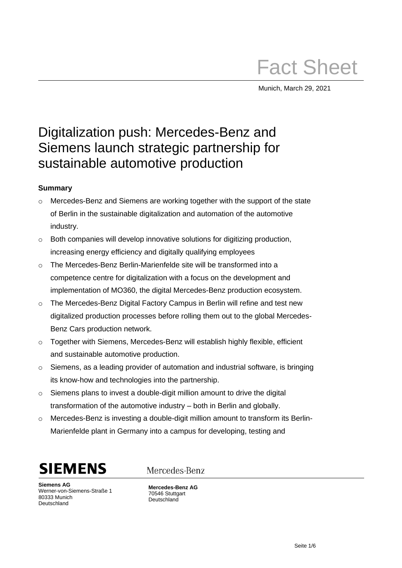# Fact Sheet

Munich, March 29, 2021

## Digitalization push: Mercedes-Benz and Siemens launch strategic partnership for sustainable automotive production

### **Summary**

- $\circ$  Mercedes-Benz and Siemens are working together with the support of the state of Berlin in the sustainable digitalization and automation of the automotive industry.
- o Both companies will develop innovative solutions for digitizing production, increasing energy efficiency and digitally qualifying employees
- o The Mercedes-Benz Berlin-Marienfelde site will be transformed into a competence centre for digitalization with a focus on the development and implementation of MO360, the digital Mercedes-Benz production ecosystem.
- $\circ$  The Mercedes-Benz Digital Factory Campus in Berlin will refine and test new digitalized production processes before rolling them out to the global Mercedes-Benz Cars production network.
- o Together with Siemens, Mercedes-Benz will establish highly flexible, efficient and sustainable automotive production.
- $\circ$  Siemens, as a leading provider of automation and industrial software, is bringing its know-how and technologies into the partnership.
- o Siemens plans to invest a double-digit million amount to drive the digital transformation of the automotive industry – both in Berlin and globally.
- $\circ$  Mercedes-Benz is investing a double-digit million amount to transform its Berlin-Marienfelde plant in Germany into a campus for developing, testing and



**Siemens AG** Werner-von-Siemens-Straße 1 80333 Munich Deutschland

Mercedes-Benz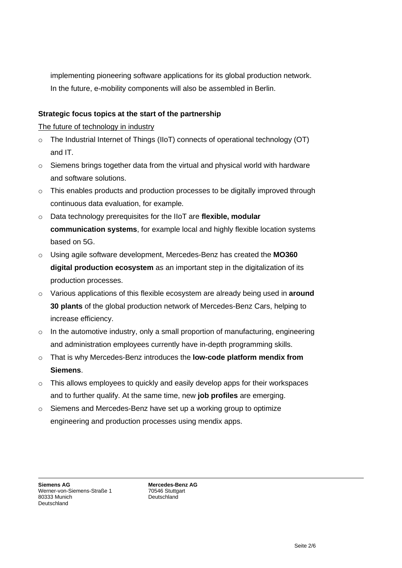implementing pioneering software applications for its global production network. In the future, e-mobility components will also be assembled in Berlin.

#### **Strategic focus topics at the start of the partnership**

The future of technology in industry

- o The Industrial Internet of Things (IIoT) connects of operational technology (OT) and IT.
- o Siemens brings together data from the virtual and physical world with hardware and software solutions.
- $\circ$  This enables products and production processes to be digitally improved through continuous data evaluation, for example.
- o Data technology prerequisites for the IIoT are **flexible, modular communication systems**, for example local and highly flexible location systems based on 5G.
- o Using agile software development, Mercedes-Benz has created the **MO360 digital production ecosystem** as an important step in the digitalization of its production processes.
- o Various applications of this flexible ecosystem are already being used in **around 30 plants** of the global production network of Mercedes-Benz Cars, helping to increase efficiency.
- $\circ$  In the automotive industry, only a small proportion of manufacturing, engineering and administration employees currently have in-depth programming skills.
- o That is why Mercedes-Benz introduces the **low-code platform mendix from Siemens**.
- o This allows employees to quickly and easily develop apps for their workspaces and to further qualify. At the same time, new **job profiles** are emerging.
- $\circ$  Siemens and Mercedes-Benz have set up a working group to optimize engineering and production processes using mendix apps.

**Siemens AG** Werner-von-Siemens-Straße 1 80333 Munich Deutschland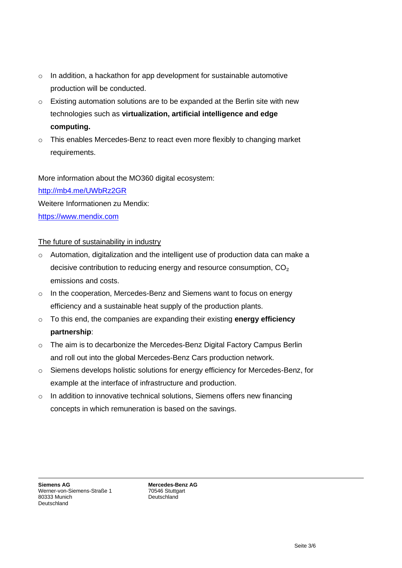- o In addition, a hackathon for app development for sustainable automotive production will be conducted.
- $\circ$  Existing automation solutions are to be expanded at the Berlin site with new technologies such as **virtualization, artificial intelligence and edge computing.**
- o This enables Mercedes-Benz to react even more flexibly to changing market requirements.

More information about the MO360 digital ecosystem:

<http://mb4.me/UWbRz2GR>

Weitere Informationen zu Mendix:

[https://www.mendix.com](https://www.mendix.com/)

#### The future of sustainability in industry

- $\circ$  Automation, digitalization and the intelligent use of production data can make a decisive contribution to reducing energy and resource consumption, CO₂ emissions and costs.
- $\circ$  In the cooperation, Mercedes-Benz and Siemens want to focus on energy efficiency and a sustainable heat supply of the production plants.
- o To this end, the companies are expanding their existing **energy efficiency partnership**:
- o The aim is to decarbonize the Mercedes-Benz Digital Factory Campus Berlin and roll out into the global Mercedes-Benz Cars production network.
- o Siemens develops holistic solutions for energy efficiency for Mercedes-Benz, for example at the interface of infrastructure and production.
- $\circ$  In addition to innovative technical solutions, Siemens offers new financing concepts in which remuneration is based on the savings.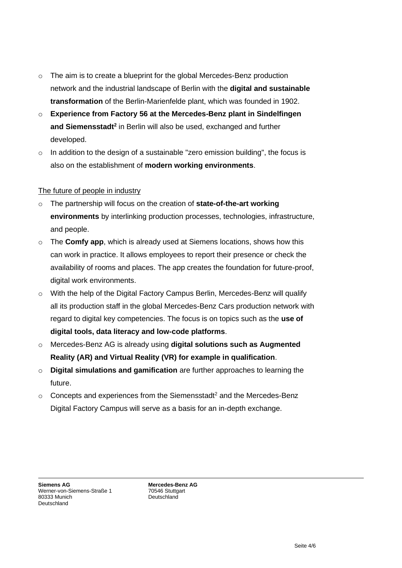- o The aim is to create a blueprint for the global Mercedes-Benz production network and the industrial landscape of Berlin with the **digital and sustainable transformation** of the Berlin-Marienfelde plant, which was founded in 1902.
- o **Experience from Factory 56 at the Mercedes-Benz plant in Sindelfingen**  and Siemensstadt<sup>2</sup> in Berlin will also be used, exchanged and further developed.
- $\circ$  In addition to the design of a sustainable "zero emission building", the focus is also on the establishment of **modern working environments**.

#### The future of people in industry

- o The partnership will focus on the creation of **state-of-the-art working environments** by interlinking production processes, technologies, infrastructure, and people.
- o The **Comfy app**, which is already used at Siemens locations, shows how this can work in practice. It allows employees to report their presence or check the availability of rooms and places. The app creates the foundation for future-proof, digital work environments.
- $\circ$  With the help of the Digital Factory Campus Berlin, Mercedes-Benz will qualify all its production staff in the global Mercedes-Benz Cars production network with regard to digital key competencies. The focus is on topics such as the **use of digital tools, data literacy and low-code platforms**.
- o Mercedes-Benz AG is already using **digital solutions such as Augmented Reality (AR) and Virtual Reality (VR) for example in qualification**.
- o **Digital simulations and gamification** are further approaches to learning the future.
- $\circ$  Concepts and experiences from the Siemensstadt<sup>2</sup> and the Mercedes-Benz Digital Factory Campus will serve as a basis for an in-depth exchange.

**Siemens AG** Werner-von-Siemens-Straße 1 80333 Munich Deutschland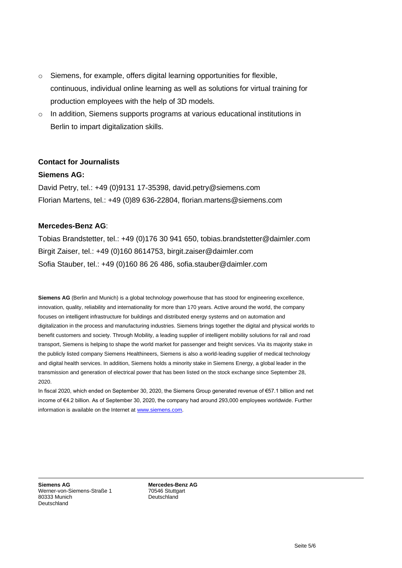- o Siemens, for example, offers digital learning opportunities for flexible, continuous, individual online learning as well as solutions for virtual training for production employees with the help of 3D models.
- o In addition, Siemens supports programs at various educational institutions in Berlin to impart digitalization skills.

#### **Contact for Journalists**

#### **Siemens AG:**

David Petry, tel.: +49 (0)9131 17-35398, david.petry@siemens.com Florian Martens, tel.: +49 (0)89 636-22804, florian.martens@siemens.com

#### **Mercedes-Benz AG**:

Tobias Brandstetter, tel.: +49 (0)176 30 941 650, tobias.brandstetter@daimler.com Birgit Zaiser, tel.: +49 (0)160 8614753, birgit.zaiser@daimler.com Sofia Stauber, tel.: +49 (0)160 86 26 486, sofia.stauber@daimler.com

**Siemens AG** (Berlin and Munich) is a global technology powerhouse that has stood for engineering excellence, innovation, quality, reliability and internationality for more than 170 years. Active around the world, the company focuses on intelligent infrastructure for buildings and distributed energy systems and on automation and digitalization in the process and manufacturing industries. Siemens brings together the digital and physical worlds to benefit customers and society. Through Mobility, a leading supplier of intelligent mobility solutions for rail and road transport, Siemens is helping to shape the world market for passenger and freight services. Via its majority stake in the publicly listed company Siemens Healthineers, Siemens is also a world-leading supplier of medical technology and digital health services. In addition, Siemens holds a minority stake in Siemens Energy, a global leader in the transmission and generation of electrical power that has been listed on the stock exchange since September 28, 2020.

In fiscal 2020, which ended on September 30, 2020, the Siemens Group generated revenue of €57.1 billion and net income of €4.2 billion. As of September 30, 2020, the company had around 293,000 employees worldwide. Further information is available on the Internet at [www.siemens.com.](https://new.siemens.com/)

**Siemens AG** Werner-von-Siemens-Straße 1 80333 Munich Deutschland